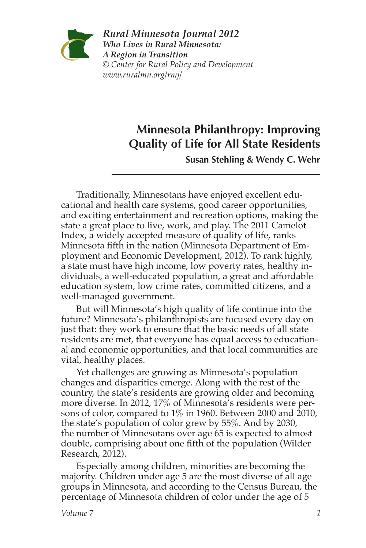

*Rural Minnesota Journal 2012 Who Lives in Rural Minnesota: A Region in Transition © Center for Rural Policy and Development www.ruralmn.org/rmj/*

# **Minnesota Philanthropy: Improving Quality of Life for All State Residents**

**Susan Stehling & Wendy C. Wehr**

Traditionally, Minnesotans have enjoyed excellent educational and health care systems, good career opportunities, and exciting entertainment and recreation options, making the state a great place to live, work, and play. The 2011 Camelot Index, a widely accepted measure of quality of life, ranks Minnesota fifth in the nation (Minnesota Department of Employment and Economic Development, 2012). To rank highly, a state must have high income, low poverty rates, healthy individuals, a well-educated population, a great and affordable education system, low crime rates, committed citizens, and a well-managed government.

But will Minnesota's high quality of life continue into the future? Minnesota's philanthropists are focused every day on just that: they work to ensure that the basic needs of all state residents are met, that everyone has equal access to educational and economic opportunities, and that local communities are vital, healthy places.

Yet challenges are growing as Minnesota's population changes and disparities emerge. Along with the rest of the country, the state's residents are growing older and becoming more diverse. In 2012, 17% of Minnesota's residents were persons of color, compared to 1% in 1960. Between 2000 and 2010, the state's population of color grew by 55%. And by 2030, the number of Minnesotans over age 65 is expected to almost double, comprising about one fifth of the population (Wilder Research, 2012).

Especially among children, minorities are becoming the majority. Children under age 5 are the most diverse of all age groups in Minnesota, and according to the Census Bureau, the percentage of Minnesota children of color under the age of 5

*Volume 7 1*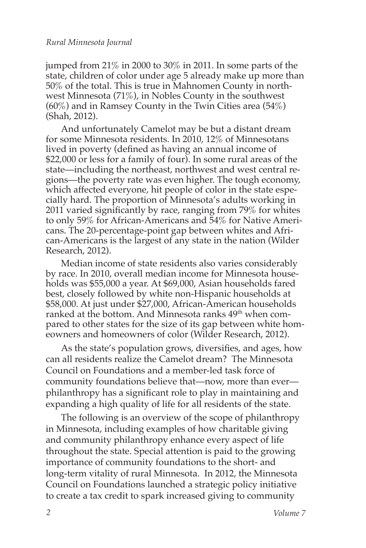jumped from 21% in 2000 to 30% in 2011. In some parts of the state, children of color under age 5 already make up more than 50% of the total. This is true in Mahnomen County in northwest Minnesota (71%), in Nobles County in the southwest  $(60\%)$  and in Ramsey County in the Twin Cities area  $(54\%)$ (Shah, 2012).

And unfortunately Camelot may be but a distant dream for some Minnesota residents. In 2010, 12% of Minnesotans lived in poverty (defined as having an annual income of \$22,000 or less for a family of four). In some rural areas of the state—including the northeast, northwest and west central regions—the poverty rate was even higher. The tough economy, which affected everyone, hit people of color in the state especially hard. The proportion of Minnesota's adults working in 2011 varied significantly by race, ranging from 79% for whites to only 59% for African-Americans and 54% for Native Americans. The 20-percentage-point gap between whites and African-Americans is the largest of any state in the nation (Wilder Research, 2012).

Median income of state residents also varies considerably by race. In 2010, overall median income for Minnesota households was \$55,000 a year. At \$69,000, Asian households fared best, closely followed by white non-Hispanic households at \$58,000. At just under \$27,000, African-American households ranked at the bottom. And Minnesota ranks 49<sup>th</sup> when compared to other states for the size of its gap between white homeowners and homeowners of color (Wilder Research, 2012).

As the state's population grows, diversifies, and ages, how can all residents realize the Camelot dream? The Minnesota Council on Foundations and a member-led task force of community foundations believe that—now, more than ever philanthropy has a significant role to play in maintaining and expanding a high quality of life for all residents of the state.

The following is an overview of the scope of philanthropy in Minnesota, including examples of how charitable giving and community philanthropy enhance every aspect of life throughout the state. Special attention is paid to the growing importance of community foundations to the short- and long-term vitality of rural Minnesota. In 2012, the Minnesota Council on Foundations launched a strategic policy initiative to create a tax credit to spark increased giving to community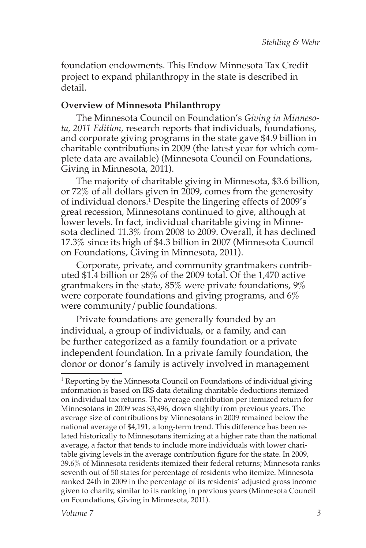foundation endowments. This Endow Minnesota Tax Credit project to expand philanthropy in the state is described in detail.

## **Overview of Minnesota Philanthropy**

The Minnesota Council on Foundation's *Giving in Minnesota, 2011 Edition,* research reports that individuals, foundations, and corporate giving programs in the state gave \$4.9 billion in charitable contributions in 2009 (the latest year for which complete data are available) (Minnesota Council on Foundations, Giving in Minnesota, 2011).

The majority of charitable giving in Minnesota, \$3.6 billion, or 72% of all dollars given in 2009, comes from the generosity of individual donors.1 Despite the lingering effects of 2009's great recession, Minnesotans continued to give, although at lower levels. In fact, individual charitable giving in Minnesota declined 11.3% from 2008 to 2009. Overall, it has declined 17.3% since its high of \$4.3 billion in 2007 (Minnesota Council on Foundations, Giving in Minnesota, 2011).

Corporate, private, and community grantmakers contributed \$1.4 billion or 28% of the 2009 total. Of the 1,470 active grantmakers in the state, 85% were private foundations, 9% were corporate foundations and giving programs, and 6% were community/public foundations.

Private foundations are generally founded by an individual, a group of individuals, or a family, and can be further categorized as a family foundation or a private independent foundation. In a private family foundation, the donor or donor's family is actively involved in management

<sup>&</sup>lt;sup>1</sup> Reporting by the Minnesota Council on Foundations of individual giving information is based on IRS data detailing charitable deductions itemized on individual tax returns. The average contribution per itemized return for Minnesotans in 2009 was \$3,496, down slightly from previous years. The average size of contributions by Minnesotans in 2009 remained below the national average of \$4,191, a long-term trend. This difference has been related historically to Minnesotans itemizing at a higher rate than the national average, a factor that tends to include more individuals with lower charitable giving levels in the average contribution figure for the state. In 2009, 39.6% of Minnesota residents itemized their federal returns; Minnesota ranks seventh out of 50 states for percentage of residents who itemize. Minnesota ranked 24th in 2009 in the percentage of its residents' adjusted gross income given to charity, similar to its ranking in previous years (Minnesota Council on Foundations, Giving in Minnesota, 2011).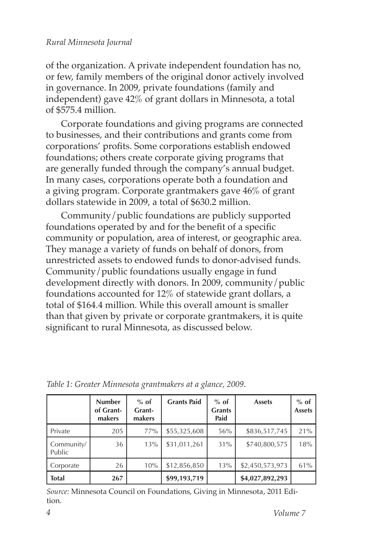of the organization. A private independent foundation has no, or few, family members of the original donor actively involved in governance. In 2009, private foundations (family and independent) gave 42% of grant dollars in Minnesota, a total of \$575.4 million.

Corporate foundations and giving programs are connected to businesses, and their contributions and grants come from corporations' profits. Some corporations establish endowed foundations; others create corporate giving programs that are generally funded through the company's annual budget. In many cases, corporations operate both a foundation and a giving program. Corporate grantmakers gave 46% of grant dollars statewide in 2009, a total of \$630.2 million.

Community/public foundations are publicly supported foundations operated by and for the benefit of a specific community or population, area of interest, or geographic area. They manage a variety of funds on behalf of donors, from unrestricted assets to endowed funds to donor-advised funds. Community/public foundations usually engage in fund development directly with donors. In 2009, community/public foundations accounted for 12% of statewide grant dollars, a total of \$164.4 million. While this overall amount is smaller than that given by private or corporate grantmakers, it is quite significant to rural Minnesota, as discussed below.

|                      | <b>Number</b><br>of Grant-<br>makers | $%$ of<br>Grant-<br>makers | <b>Grants Paid</b> | $%$ of<br><b>Grants</b><br>Paid | <b>Assets</b>   | $%$ of<br><b>Assets</b> |
|----------------------|--------------------------------------|----------------------------|--------------------|---------------------------------|-----------------|-------------------------|
| Private              | 205                                  | 77%                        | \$55,325,608       | 56%                             | \$836,517,745   | 21%                     |
| Community/<br>Public | 36                                   | 13%                        | \$31,011,261       | 31%                             | \$740,800,575   | 18%                     |
| Corporate            | 26                                   | 10%                        | \$12,856,850       | 13%                             | \$2,450,573,973 | 61%                     |
| <b>Total</b>         | 267                                  |                            | \$99,193,719       |                                 | \$4,027,892,293 |                         |

*Table 1: Greater Minnesota grantmakers at a glance, 2009.*

*Source:* Minnesota Council on Foundations, Giving in Minnesota, 2011 Edition.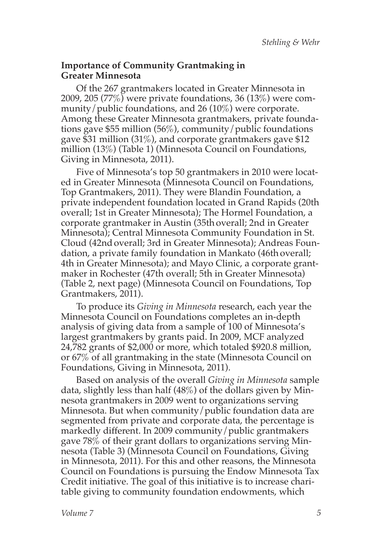### **Importance of Community Grantmaking in Greater Minnesota**

Of the 267 grantmakers located in Greater Minnesota in 2009, 205 (77%) were private foundations, 36 (13%) were community/public foundations, and 26 (10%) were corporate. Among these Greater Minnesota grantmakers, private foundations gave \$55 million (56%), community/public foundations gave \$31 million (31%), and corporate grantmakers gave \$12 million (13%) (Table 1) (Minnesota Council on Foundations, Giving in Minnesota, 2011).

Five of Minnesota's top 50 grantmakers in 2010 were located in Greater Minnesota (Minnesota Council on Foundations, Top Grantmakers, 2011). They were Blandin Foundation, a private independent foundation located in Grand Rapids (20th overall; 1st in Greater Minnesota); The Hormel Foundation, a corporate grantmaker in Austin (35th overall; 2nd in Greater Minnesota); Central Minnesota Community Foundation in St. Cloud (42ndoverall; 3rd in Greater Minnesota); Andreas Foundation, a private family foundation in Mankato (46th overall; 4th in Greater Minnesota); and Mayo Clinic, a corporate grantmaker in Rochester (47th overall; 5th in Greater Minnesota) (Table 2, next page) (Minnesota Council on Foundations, Top Grantmakers, 2011).

To produce its *Giving in Minnesota* research, each year the Minnesota Council on Foundations completes an in-depth analysis of giving data from a sample of 100 of Minnesota's largest grantmakers by grants paid. In 2009, MCF analyzed 24,782 grants of \$2,000 or more, which totaled \$920.8 million, or 67% of all grantmaking in the state (Minnesota Council on Foundations, Giving in Minnesota, 2011).

Based on analysis of the overall *Giving in Minnesota* sample data, slightly less than half (48%) of the dollars given by Minnesota grantmakers in 2009 went to organizations serving Minnesota. But when community/public foundation data are segmented from private and corporate data, the percentage is markedly different. In 2009 community/public grantmakers gave 78% of their grant dollars to organizations serving Minnesota (Table 3) (Minnesota Council on Foundations, Giving in Minnesota, 2011). For this and other reasons, the Minnesota Council on Foundations is pursuing the Endow Minnesota Tax Credit initiative. The goal of this initiative is to increase charitable giving to community foundation endowments, which

*Volume 7*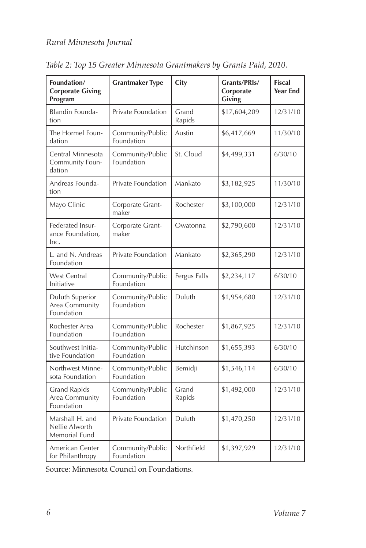| Foundation/<br><b>Corporate Giving</b><br>Program                     | <b>Grantmaker Type</b>         | City            | Grants/PRIs/<br>Corporate<br>Giving | <b>Fiscal</b><br><b>Year End</b> |
|-----------------------------------------------------------------------|--------------------------------|-----------------|-------------------------------------|----------------------------------|
| <b>Blandin Founda-</b><br>tion                                        | Private Foundation             | Grand<br>Rapids | \$17,604,209                        | 12/31/10                         |
| The Hormel Foun-<br>dation                                            | Community/Public<br>Foundation | Austin          | \$6,417,669                         | 11/30/10                         |
| Central Minnesota<br>Community Foun-<br>dation                        | Community/Public<br>Foundation | St. Cloud       | \$4,499,331                         | 6/30/10                          |
| Andreas Founda-<br>tion                                               | Private Foundation             | Mankato         | \$3,182,925                         | 11/30/10                         |
| Mayo Clinic                                                           | Corporate Grant-<br>maker      | Rochester       | \$3,100,000                         | 12/31/10                         |
| Federated Insur-<br>ance Foundation,<br>lnc.                          | Corporate Grant-<br>maker      | Owatonna        | \$2,790,600                         | 12/31/10                         |
| L. and N. Andreas<br>Foundation                                       | Private Foundation             | Mankato         | \$2,365,290                         | 12/31/10                         |
| <b>West Central</b><br>Initiative                                     | Community/Public<br>Foundation | Fergus Falls    | \$2,234,117                         | 6/30/10                          |
| Duluth Superior<br>Area Community<br>Foundation                       | Community/Public<br>Foundation | Duluth          | \$1,954,680                         | 12/31/10                         |
| Rochester Area<br>Foundation                                          | Community/Public<br>Foundation | Rochester       | \$1,867,925                         | 12/31/10                         |
| Southwest Initia-<br>tive Foundation                                  | Community/Public<br>Foundation | Hutchinson      | \$1,655,393                         | 6/30/10                          |
| Northwest Minne-<br>sota Foundation                                   | Community/Public<br>Foundation | Bemidji         | \$1,546,114                         | 6/30/10                          |
| <b>Grand Rapids</b><br>Area Community<br>Foundation                   | Community/Public<br>Foundation | Grand<br>Rapids | \$1,492,000                         | 12/31/10                         |
| Marshall H. and<br>Nellie Alworth<br>Memorial Fund                    | Private Foundation             | Duluth          | \$1,470,250                         | 12/31/10                         |
| American Center<br>Community/Public<br>Foundation<br>for Philanthropy |                                | Northfield      | \$1,397,929                         | 12/31/10                         |

*Table 2: Top 15 Greater Minnesota Grantmakers by Grants Paid, 2010.*

Source: Minnesota Council on Foundations.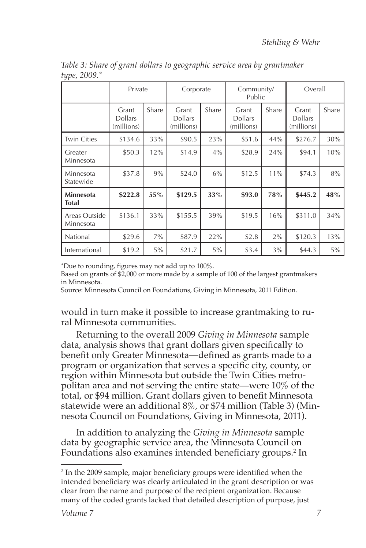|                            | Private                               |       | Corporate                             |       | Community/<br>Public                  |       | Overall                               |       |
|----------------------------|---------------------------------------|-------|---------------------------------------|-------|---------------------------------------|-------|---------------------------------------|-------|
|                            | Grant<br><b>Dollars</b><br>(millions) | Share | Grant<br><b>Dollars</b><br>(millions) | Share | Grant<br><b>Dollars</b><br>(millions) | Share | Grant<br><b>Dollars</b><br>(millions) | Share |
| <b>Twin Cities</b>         | \$134.6                               | 33%   | \$90.5                                | 23%   | \$51.6                                | 44%   | \$276.7                               | 30%   |
| Greater<br>Minnesota       | \$50.3                                | 12%   | \$14.9                                | $4\%$ | \$28.9                                | 24%   | \$94.1                                | 10%   |
| Minnesota<br>Statewide     | \$37.8                                | 9%    | \$24.0                                | 6%    | \$12.5                                | 11%   | \$74.3                                | 8%    |
| <b>Minnesota</b><br>Total  | \$222.8                               | 55%   | \$129.5                               | 33%   | \$93.0                                | 78%   | \$445.2                               | 48%   |
| Areas Outside<br>Minnesota | \$136.1                               | 33%   | \$155.5                               | 39%   | \$19.5                                | 16%   | \$311.0                               | 34%   |
| National                   | \$29.6                                | $7\%$ | \$87.9                                | 22%   | \$2.8                                 | 2%    | \$120.3                               | 13%   |
| International              | \$19.2                                | $5\%$ | \$21.7                                | $5\%$ | \$3.4                                 | $3\%$ | \$44.3                                | $5\%$ |

*Table 3: Share of grant dollars to geographic service area by grantmaker type, 2009.\** 

\*Due to rounding, figures may not add up to 100%.

Based on grants of \$2,000 or more made by a sample of 100 of the largest grantmakers in Minnesota.

Source: Minnesota Council on Foundations, Giving in Minnesota, 2011 Edition.

would in turn make it possible to increase grantmaking to rural Minnesota communities.

Returning to the overall 2009 *Giving in Minnesota* sample data, analysis shows that grant dollars given specifically to benefit only Greater Minnesota—defined as grants made to a program or organization that serves a specific city, county, or region within Minnesota but outside the Twin Cities metropolitan area and not serving the entire state—were 10% of the total, or \$94 million. Grant dollars given to benefit Minnesota statewide were an additional 8%, or \$74 million (Table 3) (Minnesota Council on Foundations, Giving in Minnesota, 2011).

In addition to analyzing the *Giving in Minnesota* sample data by geographic service area, the Minnesota Council on Foundations also examines intended beneficiary groups.2 In

<sup>&</sup>lt;sup>2</sup> In the 2009 sample, major beneficiary groups were identified when the intended beneficiary was clearly articulated in the grant description or was clear from the name and purpose of the recipient organization. Because many of the coded grants lacked that detailed description of purpose, just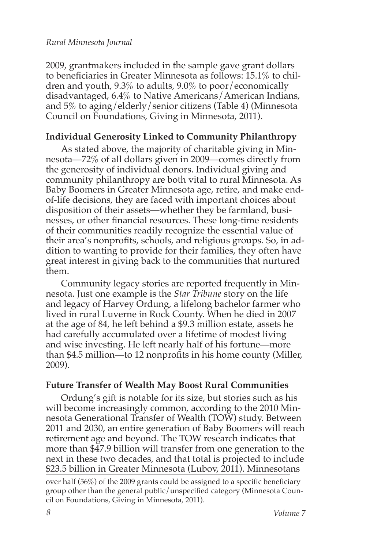2009, grantmakers included in the sample gave grant dollars to beneficiaries in Greater Minnesota as follows: 15.1% to children and youth, 9.3% to adults, 9.0% to poor/economically disadvantaged, 6.4% to Native Americans/American Indians, and 5% to aging/elderly/senior citizens (Table 4) (Minnesota Council on Foundations, Giving in Minnesota, 2011).

## **Individual Generosity Linked to Community Philanthropy**

As stated above, the majority of charitable giving in Minnesota—72% of all dollars given in 2009—comes directly from the generosity of individual donors. Individual giving and community philanthropy are both vital to rural Minnesota. As Baby Boomers in Greater Minnesota age, retire, and make endof-life decisions, they are faced with important choices about disposition of their assets—whether they be farmland, businesses, or other financial resources. These long-time residents of their communities readily recognize the essential value of their area's nonprofits, schools, and religious groups. So, in addition to wanting to provide for their families, they often have great interest in giving back to the communities that nurtured them.

Community legacy stories are reported frequently in Minnesota. Just one example is the *Star Tribune* story on the life and legacy of Harvey Ordung, a lifelong bachelor farmer who lived in rural Luverne in Rock County. When he died in 2007 at the age of 84, he left behind a \$9.3 million estate, assets he had carefully accumulated over a lifetime of modest living and wise investing. He left nearly half of his fortune—more than \$4.5 million—to 12 nonprofits in his home county (Miller, 2009).

## **Future Transfer of Wealth May Boost Rural Communities**

Ordung's gift is notable for its size, but stories such as his will become increasingly common, according to the 2010 Minnesota Generational Transfer of Wealth (TOW) study. Between 2011 and 2030, an entire generation of Baby Boomers will reach retirement age and beyond. The TOW research indicates that more than \$47.9 billion will transfer from one generation to the next in these two decades, and that total is projected to include \$23.5 billion in Greater Minnesota (Lubov, 2011). Minnesotans

over half (56%) of the 2009 grants could be assigned to a specific beneficiary group other than the general public/unspecified category (Minnesota Council on Foundations, Giving in Minnesota, 2011).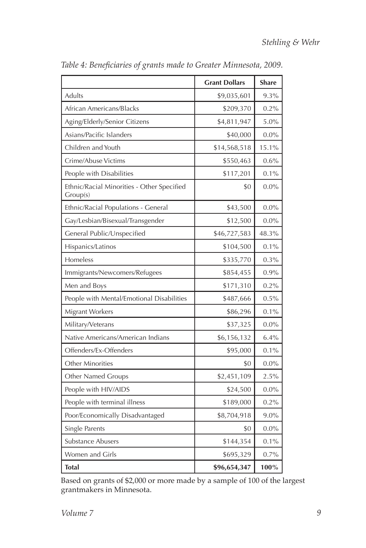|                                                        | <b>Grant Dollars</b> | <b>Share</b> |
|--------------------------------------------------------|----------------------|--------------|
| Adults                                                 | \$9,035,601          | 9.3%         |
| African Americans/Blacks                               | \$209,370            | 0.2%         |
| Aging/Elderly/Senior Citizens                          | \$4,811,947          | 5.0%         |
| Asians/Pacific Islanders                               | \$40,000             | $0.0\%$      |
| Children and Youth                                     | \$14,568,518         | 15.1%        |
| Crime/Abuse Victims                                    | \$550,463            | 0.6%         |
| People with Disabilities                               | \$117,201            | 0.1%         |
| Ethnic/Racial Minorities - Other Specified<br>Group(s) | \$0                  | $0.0\%$      |
| Ethnic/Racial Populations - General                    | \$43,500             | $0.0\%$      |
| Gay/Lesbian/Bisexual/Transgender                       | \$12,500             | $0.0\%$      |
| General Public/Unspecified                             | \$46,727,583         | 48.3%        |
| Hispanics/Latinos                                      | \$104,500            | 0.1%         |
| Homeless                                               | \$335,770            | 0.3%         |
| Immigrants/Newcomers/Refugees                          | \$854,455            | 0.9%         |
| Men and Boys                                           | \$171,310            | 0.2%         |
| People with Mental/Emotional Disabilities              | \$487,666            | 0.5%         |
| Migrant Workers                                        | \$86,296             | 0.1%         |
| Military/Veterans                                      | \$37,325             | 0.0%         |
| Native Americans/American Indians                      | \$6,156,132          | 6.4%         |
| Offenders/Ex-Offenders                                 | \$95,000             | 0.1%         |
| <b>Other Minorities</b>                                | \$0                  | $0.0\%$      |
| Other Named Groups                                     | \$2,451,109          | 2.5%         |
| People with HIV/AIDS                                   | \$24,500             | $0.0\%$      |
| People with terminal illness                           | \$189,000            | 0.2%         |
| Poor/Economically Disadvantaged                        | \$8,704,918          | $9.0\%$      |
| Single Parents                                         | \$0                  | $0.0\%$      |
| Substance Abusers                                      | \$144,354            | 0.1%         |
| Women and Girls                                        | \$695,329            | 0.7%         |
| <b>Total</b>                                           | \$96,654,347         | 100%         |

*Table 4: Beneficiaries of grants made to Greater Minnesota, 2009.*

Based on grants of \$2,000 or more made by a sample of 100 of the largest grantmakers in Minnesota.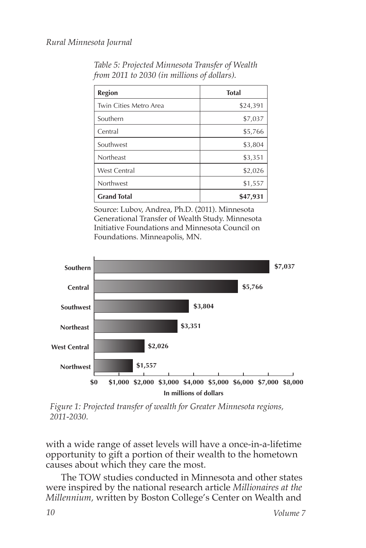| Region                 | <b>Total</b> |
|------------------------|--------------|
| Twin Cities Metro Area | \$24,391     |
| Southern               | \$7,037      |
| Central                | \$5,766      |
| Southwest              | \$3,804      |
| Northeast              | \$3,351      |
| <b>West Central</b>    | \$2,026      |
| Northwest              | \$1,557      |
| <b>Grand Total</b>     | \$47,931     |

*Table 5: Projected Minnesota Transfer of Wealth from 2011 to 2030 (in millions of dollars).*

Source: Lubov, Andrea, Ph.D. (2011). Minnesota Generational Transfer of Wealth Study. Minnesota Initiative Foundations and Minnesota Council on Foundations. Minneapolis, MN.



*Figure 1: Projected transfer of wealth for Greater Minnesota regions, 2011-2030.*

with a wide range of asset levels will have a once-in-a-lifetime opportunity to gift a portion of their wealth to the hometown causes about which they care the most.

The TOW studies conducted in Minnesota and other states were inspired by the national research article *Millionaires at the Millennium,* written by Boston College's Center on Wealth and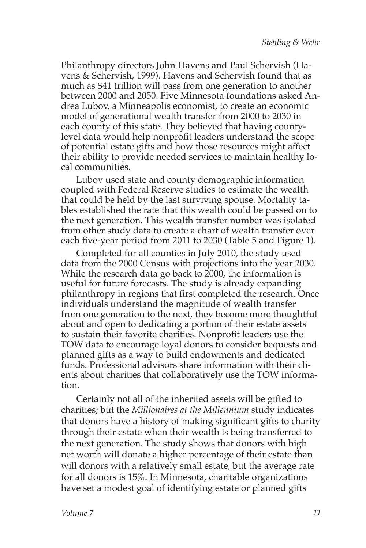Philanthropy directors John Havens and Paul Schervish (Havens & Schervish, 1999). Havens and Schervish found that as much as \$41 trillion will pass from one generation to another between 2000 and 2050. Five Minnesota foundations asked Andrea Lubov, a Minneapolis economist, to create an economic model of generational wealth transfer from 2000 to 2030 in each county of this state. They believed that having countylevel data would help nonprofit leaders understand the scope of potential estate gifts and how those resources might affect their ability to provide needed services to maintain healthy local communities.

Lubov used state and county demographic information coupled with Federal Reserve studies to estimate the wealth that could be held by the last surviving spouse. Mortality tables established the rate that this wealth could be passed on to the next generation. This wealth transfer number was isolated from other study data to create a chart of wealth transfer over each five-year period from 2011 to 2030 (Table 5 and Figure 1).

Completed for all counties in July 2010, the study used data from the 2000 Census with projections into the year 2030. While the research data go back to 2000, the information is useful for future forecasts. The study is already expanding philanthropy in regions that first completed the research. Once individuals understand the magnitude of wealth transfer from one generation to the next, they become more thoughtful about and open to dedicating a portion of their estate assets to sustain their favorite charities. Nonprofit leaders use the TOW data to encourage loyal donors to consider bequests and planned gifts as a way to build endowments and dedicated funds. Professional advisors share information with their clients about charities that collaboratively use the TOW information.

Certainly not all of the inherited assets will be gifted to charities; but the *Millionaires at the Millennium* study indicates that donors have a history of making significant gifts to charity through their estate when their wealth is being transferred to the next generation. The study shows that donors with high net worth will donate a higher percentage of their estate than will donors with a relatively small estate, but the average rate for all donors is 15%. In Minnesota, charitable organizations have set a modest goal of identifying estate or planned gifts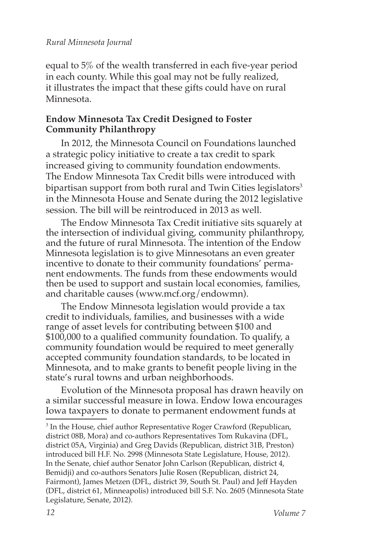equal to 5% of the wealth transferred in each five-year period in each county. While this goal may not be fully realized, it illustrates the impact that these gifts could have on rural Minnesota.

## **Endow Minnesota Tax Credit Designed to Foster Community Philanthropy**

In 2012, the Minnesota Council on Foundations launched a strategic policy initiative to create a tax credit to spark increased giving to community foundation endowments. The Endow Minnesota Tax Credit bills were introduced with bipartisan support from both rural and Twin Cities legislators<sup>3</sup> in the Minnesota House and Senate during the 2012 legislative session. The bill will be reintroduced in 2013 as well.

The Endow Minnesota Tax Credit initiative sits squarely at the intersection of individual giving, community philanthropy, and the future of rural Minnesota. The intention of the Endow Minnesota legislation is to give Minnesotans an even greater incentive to donate to their community foundations' permanent endowments. The funds from these endowments would then be used to support and sustain local economies, families, and charitable causes (www.mcf.org/endowmn).

The Endow Minnesota legislation would provide a tax credit to individuals, families, and businesses with a wide range of asset levels for contributing between \$100 and \$100,000 to a qualified community foundation. To qualify, a community foundation would be required to meet generally accepted community foundation standards, to be located in Minnesota, and to make grants to benefit people living in the state's rural towns and urban neighborhoods.

Evolution of the Minnesota proposal has drawn heavily on a similar successful measure in Iowa. Endow Iowa encourages Iowa taxpayers to donate to permanent endowment funds at

<sup>&</sup>lt;sup>3</sup> In the House, chief author Representative Roger Crawford (Republican, district 08B, Mora) and co-authors Representatives Tom Rukavina (DFL, district 05A, Virginia) and Greg Davids (Republican, district 31B, Preston) introduced bill H.F. No. 2998 (Minnesota State Legislature, House, 2012). In the Senate, chief author Senator John Carlson (Republican, district 4, Bemidji) and co-authors Senators Julie Rosen (Republican, district 24, Fairmont), James Metzen (DFL, district 39, South St. Paul) and Jeff Hayden (DFL, district 61, Minneapolis) introduced bill S.F. No. 2605 (Minnesota State Legislature, Senate, 2012).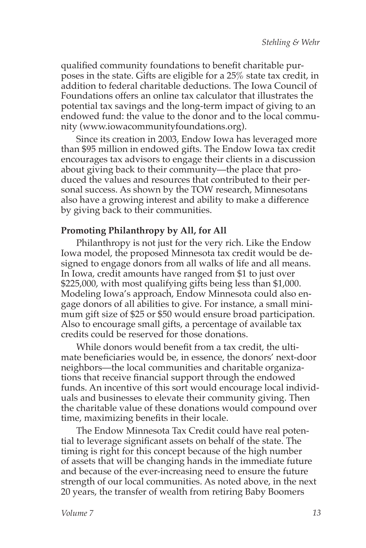qualified community foundations to benefit charitable purposes in the state. Gifts are eligible for a 25% state tax credit, in addition to federal charitable deductions. The Iowa Council of Foundations offers an online tax calculator that illustrates the potential tax savings and the long-term impact of giving to an endowed fund: the value to the donor and to the local community (www.iowacommunityfoundations.org).

Since its creation in 2003, Endow Iowa has leveraged more than \$95 million in endowed gifts. The Endow Iowa tax credit encourages tax advisors to engage their clients in a discussion about giving back to their community—the place that produced the values and resources that contributed to their personal success. As shown by the TOW research, Minnesotans also have a growing interest and ability to make a difference by giving back to their communities.

## **Promoting Philanthropy by All, for All**

Philanthropy is not just for the very rich. Like the Endow Iowa model, the proposed Minnesota tax credit would be designed to engage donors from all walks of life and all means. In Iowa, credit amounts have ranged from \$1 to just over \$225,000, with most qualifying gifts being less than \$1,000. Modeling Iowa's approach, Endow Minnesota could also engage donors of all abilities to give. For instance, a small minimum gift size of \$25 or \$50 would ensure broad participation. Also to encourage small gifts, a percentage of available tax credits could be reserved for those donations.

While donors would benefit from a tax credit, the ultimate beneficiaries would be, in essence, the donors' next-door neighbors—the local communities and charitable organizations that receive financial support through the endowed funds. An incentive of this sort would encourage local individuals and businesses to elevate their community giving. Then the charitable value of these donations would compound over time, maximizing benefits in their locale.

The Endow Minnesota Tax Credit could have real potential to leverage significant assets on behalf of the state. The timing is right for this concept because of the high number of assets that will be changing hands in the immediate future and because of the ever-increasing need to ensure the future strength of our local communities. As noted above, in the next 20 years, the transfer of wealth from retiring Baby Boomers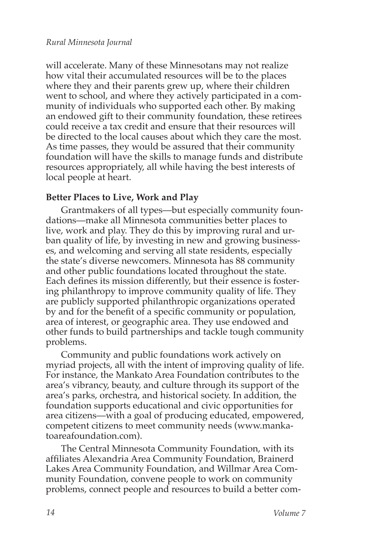will accelerate. Many of these Minnesotans may not realize how vital their accumulated resources will be to the places where they and their parents grew up, where their children went to school, and where they actively participated in a community of individuals who supported each other. By making an endowed gift to their community foundation, these retirees could receive a tax credit and ensure that their resources will be directed to the local causes about which they care the most. As time passes, they would be assured that their community foundation will have the skills to manage funds and distribute resources appropriately, all while having the best interests of local people at heart.

#### **Better Places to Live, Work and Play**

Grantmakers of all types—but especially community foundations—make all Minnesota communities better places to live, work and play. They do this by improving rural and urban quality of life, by investing in new and growing businesses, and welcoming and serving all state residents, especially the state's diverse newcomers. Minnesota has 88 community and other public foundations located throughout the state. Each defines its mission differently, but their essence is fostering philanthropy to improve community quality of life. They are publicly supported philanthropic organizations operated by and for the benefit of a specific community or population, area of interest, or geographic area. They use endowed and other funds to build partnerships and tackle tough community problems.

Community and public foundations work actively on myriad projects, all with the intent of improving quality of life. For instance, the Mankato Area Foundation contributes to the area's vibrancy, beauty, and culture through its support of the area's parks, orchestra, and historical society. In addition, the foundation supports educational and civic opportunities for area citizens—with a goal of producing educated, empowered, competent citizens to meet community needs (www.mankatoareafoundation.com).

The Central Minnesota Community Foundation, with its affiliates Alexandria Area Community Foundation, Brainerd Lakes Area Community Foundation, and Willmar Area Community Foundation, convene people to work on community problems, connect people and resources to build a better com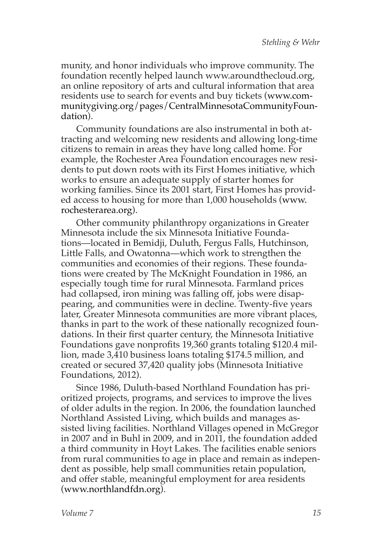munity, and honor individuals who improve community. The foundation recently helped launch www.aroundthecloud.org, an online repository of arts and cultural information that area residents use to search for events and buy tickets (www.communitygiving.org/pages/CentralMinnesotaCommunityFoundation).

Community foundations are also instrumental in both attracting and welcoming new residents and allowing long-time citizens to remain in areas they have long called home. For example, the Rochester Area Foundation encourages new residents to put down roots with its First Homes initiative, which works to ensure an adequate supply of starter homes for working families. Since its 2001 start, First Homes has provided access to housing for more than 1,000 households (www. rochesterarea.org).

Other community philanthropy organizations in Greater Minnesota include the six Minnesota Initiative Foundations—located in Bemidji, Duluth, Fergus Falls, Hutchinson, Little Falls, and Owatonna—which work to strengthen the communities and economies of their regions. These foundations were created by The McKnight Foundation in 1986, an especially tough time for rural Minnesota. Farmland prices had collapsed, iron mining was falling off, jobs were disappearing, and communities were in decline. Twenty-five years later, Greater Minnesota communities are more vibrant places, thanks in part to the work of these nationally recognized foundations. In their first quarter century, the Minnesota Initiative Foundations gave nonprofits 19,360 grants totaling \$120.4 million, made 3,410 business loans totaling \$174.5 million, and created or secured 37,420 quality jobs (Minnesota Initiative Foundations, 2012).

Since 1986, Duluth-based Northland Foundation has prioritized projects, programs, and services to improve the lives of older adults in the region. In 2006, the foundation launched Northland Assisted Living, which builds and manages assisted living facilities. Northland Villages opened in McGregor in 2007 and in Buhl in 2009, and in 2011, the foundation added a third community in Hoyt Lakes. The facilities enable seniors from rural communities to age in place and remain as independent as possible, help small communities retain population, and offer stable, meaningful employment for area residents (www.northlandfdn.org).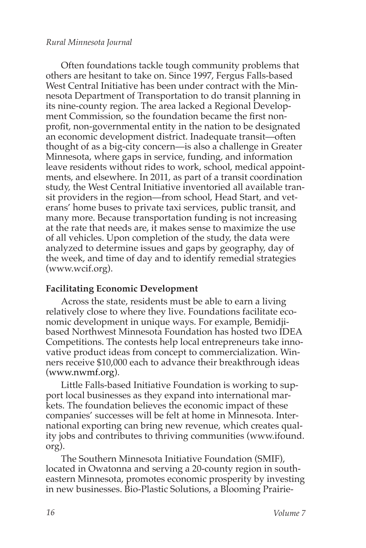Often foundations tackle tough community problems that others are hesitant to take on. Since 1997, Fergus Falls-based West Central Initiative has been under contract with the Minnesota Department of Transportation to do transit planning in its nine-county region. The area lacked a Regional Development Commission, so the foundation became the first nonprofit, non-governmental entity in the nation to be designated an economic development district. Inadequate transit—often thought of as a big-city concern—is also a challenge in Greater Minnesota, where gaps in service, funding, and information leave residents without rides to work, school, medical appointments, and elsewhere. In 2011, as part of a transit coordination study, the West Central Initiative inventoried all available transit providers in the region—from school, Head Start, and veterans' home buses to private taxi services, public transit, and many more. Because transportation funding is not increasing at the rate that needs are, it makes sense to maximize the use of all vehicles. Upon completion of the study, the data were analyzed to determine issues and gaps by geography, day of the week, and time of day and to identify remedial strategies (www.wcif.org).

#### **Facilitating Economic Development**

Across the state, residents must be able to earn a living relatively close to where they live. Foundations facilitate economic development in unique ways. For example, Bemidjibased Northwest Minnesota Foundation has hosted two IDEA Competitions. The contests help local entrepreneurs take innovative product ideas from concept to commercialization. Winners receive \$10,000 each to advance their breakthrough ideas (www.nwmf.org).

Little Falls-based Initiative Foundation is working to support local businesses as they expand into international markets. The foundation believes the economic impact of these companies' successes will be felt at home in Minnesota. International exporting can bring new revenue, which creates quality jobs and contributes to thriving communities (www.ifound. org).

The Southern Minnesota Initiative Foundation (SMIF), located in Owatonna and serving a 20-county region in southeastern Minnesota, promotes economic prosperity by investing in new businesses. Bio-Plastic Solutions, a Blooming Prairie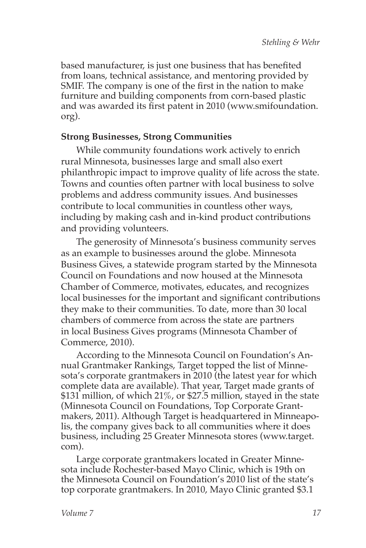based manufacturer, is just one business that has benefited from loans, technical assistance, and mentoring provided by SMIF. The company is one of the first in the nation to make furniture and building components from corn-based plastic and was awarded its first patent in 2010 (www.smifoundation. org).

## **Strong Businesses, Strong Communities**

While community foundations work actively to enrich rural Minnesota, businesses large and small also exert philanthropic impact to improve quality of life across the state. Towns and counties often partner with local business to solve problems and address community issues. And businesses contribute to local communities in countless other ways, including by making cash and in-kind product contributions and providing volunteers.

The generosity of Minnesota's business community serves as an example to businesses around the globe. Minnesota Business Gives, a statewide program started by the Minnesota Council on Foundations and now housed at the Minnesota Chamber of Commerce, motivates, educates, and recognizes local businesses for the important and significant contributions they make to their communities. To date, more than 30 local chambers of commerce from across the state are partners in local Business Gives programs (Minnesota Chamber of Commerce, 2010).

According to the Minnesota Council on Foundation's Annual Grantmaker Rankings, Target topped the list of Minnesota's corporate grantmakers in 2010 (the latest year for which complete data are available). That year, Target made grants of \$131 million, of which 21%, or \$27.5 million, stayed in the state (Minnesota Council on Foundations, Top Corporate Grantmakers, 2011). Although Target is headquartered in Minneapolis, the company gives back to all communities where it does business, including 25 Greater Minnesota stores (www.target. com).

Large corporate grantmakers located in Greater Minnesota include Rochester-based Mayo Clinic, which is 19th on the Minnesota Council on Foundation's 2010 list of the state's top corporate grantmakers. In 2010, Mayo Clinic granted \$3.1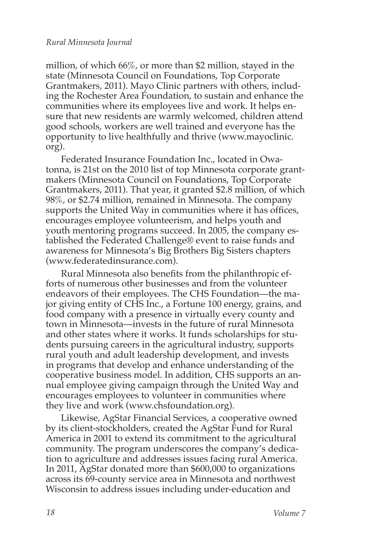million, of which 66%, or more than \$2 million, stayed in the state (Minnesota Council on Foundations, Top Corporate Grantmakers, 2011). Mayo Clinic partners with others, including the Rochester Area Foundation, to sustain and enhance the communities where its employees live and work. It helps ensure that new residents are warmly welcomed, children attend good schools, workers are well trained and everyone has the opportunity to live healthfully and thrive (www.mayoclinic. org).

Federated Insurance Foundation Inc., located in Owatonna, is 21st on the 2010 list of top Minnesota corporate grantmakers (Minnesota Council on Foundations, Top Corporate Grantmakers, 2011). That year, it granted \$2.8 million, of which 98%, or \$2.74 million, remained in Minnesota. The company supports the United Way in communities where it has offices, encourages employee volunteerism, and helps youth and youth mentoring programs succeed. In 2005, the company established the Federated Challenge® event to raise funds and awareness for Minnesota's Big Brothers Big Sisters chapters (www.federatedinsurance.com).

Rural Minnesota also benefits from the philanthropic efforts of numerous other businesses and from the volunteer endeavors of their employees. The CHS Foundation—the major giving entity of CHS Inc., a Fortune 100 energy, grains, and food company with a presence in virtually every county and town in Minnesota—invests in the future of rural Minnesota and other states where it works. It funds scholarships for students pursuing careers in the agricultural industry, supports rural youth and adult leadership development, and invests in programs that develop and enhance understanding of the cooperative business model. In addition, CHS supports an annual employee giving campaign through the United Way and encourages employees to volunteer in communities where they live and work (www.chsfoundation.org).

Likewise, AgStar Financial Services, a cooperative owned by its client-stockholders, created the AgStar Fund for Rural America in 2001 to extend its commitment to the agricultural community. The program underscores the company's dedication to agriculture and addresses issues facing rural America. In 2011, AgStar donated more than \$600,000 to organizations across its 69-county service area in Minnesota and northwest Wisconsin to address issues including under-education and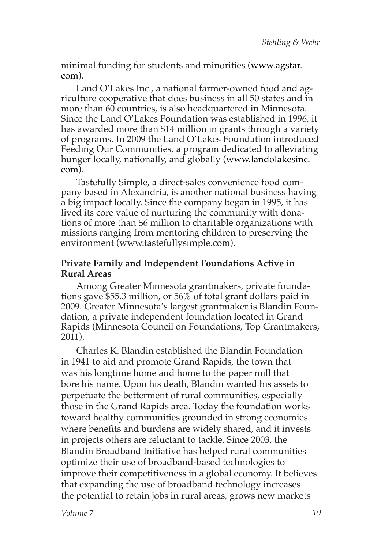minimal funding for students and minorities (www.agstar. com).

Land O'Lakes Inc., a national farmer-owned food and agriculture cooperative that does business in all 50 states and in more than 60 countries, is also headquartered in Minnesota. Since the Land O'Lakes Foundation was established in 1996, it has awarded more than \$14 million in grants through a variety of programs. In 2009 the Land O'Lakes Foundation introduced Feeding Our Communities, a program dedicated to alleviating hunger locally, nationally, and globally (www.landolakesinc. com).

Tastefully Simple, a direct-sales convenience food company based in Alexandria, is another national business having a big impact locally. Since the company began in 1995, it has lived its core value of nurturing the community with donations of more than \$6 million to charitable organizations with missions ranging from mentoring children to preserving the environment (www.tastefullysimple.com).

### **Private Family and Independent Foundations Active in Rural Areas**

Among Greater Minnesota grantmakers, private foundations gave \$55.3 million, or 56% of total grant dollars paid in 2009. Greater Minnesota's largest grantmaker is Blandin Foundation, a private independent foundation located in Grand Rapids (Minnesota Council on Foundations, Top Grantmakers, 2011).

Charles K. Blandin established the Blandin Foundation in 1941 to aid and promote Grand Rapids, the town that was his longtime home and home to the paper mill that bore his name. Upon his death, Blandin wanted his assets to perpetuate the betterment of rural communities, especially those in the Grand Rapids area. Today the foundation works toward healthy communities grounded in strong economies where benefits and burdens are widely shared, and it invests in projects others are reluctant to tackle. Since 2003, the Blandin Broadband Initiative has helped rural communities optimize their use of broadband-based technologies to improve their competitiveness in a global economy. It believes that expanding the use of broadband technology increases the potential to retain jobs in rural areas, grows new markets

*Volume 7*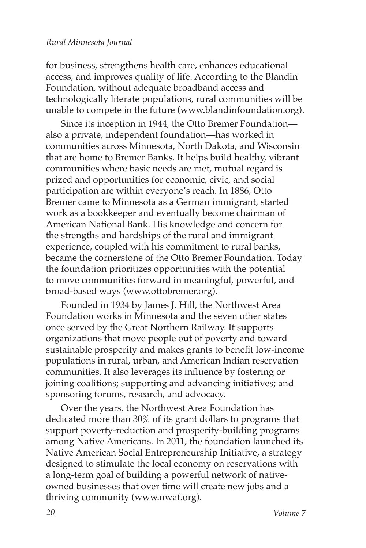for business, strengthens health care, enhances educational access, and improves quality of life. According to the Blandin Foundation, without adequate broadband access and technologically literate populations, rural communities will be unable to compete in the future (www.blandinfoundation.org).

Since its inception in 1944, the Otto Bremer Foundation also a private, independent foundation—has worked in communities across Minnesota, North Dakota, and Wisconsin that are home to Bremer Banks. It helps build healthy, vibrant communities where basic needs are met, mutual regard is prized and opportunities for economic, civic, and social participation are within everyone's reach. In 1886, Otto Bremer came to Minnesota as a German immigrant, started work as a bookkeeper and eventually become chairman of American National Bank. His knowledge and concern for the strengths and hardships of the rural and immigrant experience, coupled with his commitment to rural banks, became the cornerstone of the Otto Bremer Foundation. Today the foundation prioritizes opportunities with the potential to move communities forward in meaningful, powerful, and broad-based ways (www.ottobremer.org).

Founded in 1934 by James J. Hill, the Northwest Area Foundation works in Minnesota and the seven other states once served by the Great Northern Railway. It supports organizations that move people out of poverty and toward sustainable prosperity and makes grants to benefit low-income populations in rural, urban, and American Indian reservation communities. It also leverages its influence by fostering or joining coalitions; supporting and advancing initiatives; and sponsoring forums, research, and advocacy.

Over the years, the Northwest Area Foundation has dedicated more than 30% of its grant dollars to programs that support poverty-reduction and prosperity-building programs among Native Americans. In 2011, the foundation launched its Native American Social Entrepreneurship Initiative, a strategy designed to stimulate the local economy on reservations with a long-term goal of building a powerful network of nativeowned businesses that over time will create new jobs and a thriving community (www.nwaf.org).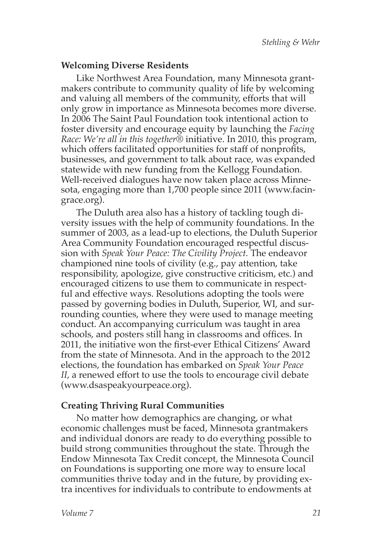#### **Welcoming Diverse Residents**

Like Northwest Area Foundation, many Minnesota grantmakers contribute to community quality of life by welcoming and valuing all members of the community, efforts that will only grow in importance as Minnesota becomes more diverse. In 2006 The Saint Paul Foundation took intentional action to foster diversity and encourage equity by launching the *Facing Race: We're all in this together®* initiative. In 2010, this program, which offers facilitated opportunities for staff of nonprofits, businesses, and government to talk about race, was expanded statewide with new funding from the Kellogg Foundation. Well-received dialogues have now taken place across Minnesota, engaging more than 1,700 people since 2011 (www.facingrace.org).

The Duluth area also has a history of tackling tough diversity issues with the help of community foundations. In the summer of 2003, as a lead-up to elections, the Duluth Superior Area Community Foundation encouraged respectful discussion with *Speak Your Peace: The Civility Project.* The endeavor championed nine tools of civility (e.g., pay attention, take responsibility, apologize, give constructive criticism, etc.) and encouraged citizens to use them to communicate in respectful and effective ways. Resolutions adopting the tools were passed by governing bodies in Duluth, Superior, WI, and surrounding counties, where they were used to manage meeting conduct. An accompanying curriculum was taught in area schools, and posters still hang in classrooms and offices. In 2011, the initiative won the first-ever Ethical Citizens' Award from the state of Minnesota. And in the approach to the 2012 elections, the foundation has embarked on *Speak Your Peace II*, a renewed effort to use the tools to encourage civil debate (www.dsaspeakyourpeace.org).

#### **Creating Thriving Rural Communities**

No matter how demographics are changing, or what economic challenges must be faced, Minnesota grantmakers and individual donors are ready to do everything possible to build strong communities throughout the state. Through the Endow Minnesota Tax Credit concept, the Minnesota Council on Foundations is supporting one more way to ensure local communities thrive today and in the future, by providing extra incentives for individuals to contribute to endowments at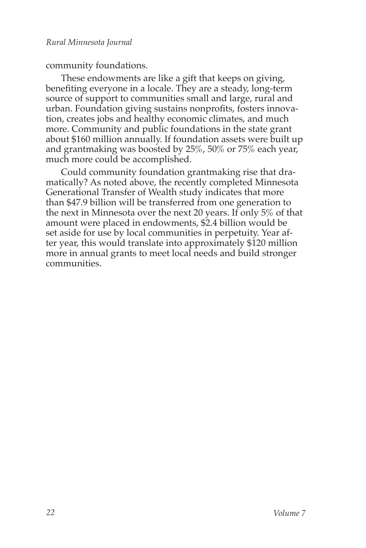community foundations.

These endowments are like a gift that keeps on giving, benefiting everyone in a locale. They are a steady, long-term source of support to communities small and large, rural and urban. Foundation giving sustains nonprofits, fosters innovation, creates jobs and healthy economic climates, and much more. Community and public foundations in the state grant about \$160 million annually. If foundation assets were built up and grantmaking was boosted by 25%, 50% or 75% each year, much more could be accomplished.

Could community foundation grantmaking rise that dramatically? As noted above, the recently completed Minnesota Generational Transfer of Wealth study indicates that more than \$47.9 billion will be transferred from one generation to the next in Minnesota over the next 20 years. If only 5% of that amount were placed in endowments, \$2.4 billion would be set aside for use by local communities in perpetuity. Year after year, this would translate into approximately \$120 million more in annual grants to meet local needs and build stronger communities.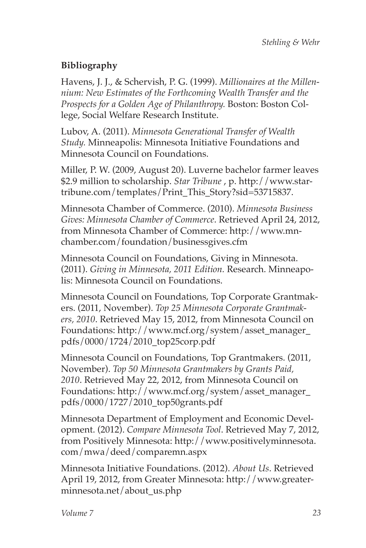# **Bibliography**

Havens, J. J., & Schervish, P. G. (1999). *Millionaires at the Millennium: New Estimates of the Forthcoming Wealth Transfer and the Prospects for a Golden Age of Philanthropy.* Boston: Boston College, Social Welfare Research Institute.

Lubov, A. (2011). *Minnesota Generational Transfer of Wealth Study.* Minneapolis: Minnesota Initiative Foundations and Minnesota Council on Foundations.

Miller, P. W. (2009, August 20). Luverne bachelor farmer leaves \$2.9 million to scholarship. *Star Tribune* , p. http://www.startribune.com/templates/Print\_This\_Story?sid=53715837.

Minnesota Chamber of Commerce. (2010). *Minnesota Business Gives: Minnesota Chamber of Commerce*. Retrieved April 24, 2012, from Minnesota Chamber of Commerce: http://www.mnchamber.com/foundation/businessgives.cfm

Minnesota Council on Foundations, Giving in Minnesota. (2011). *Giving in Minnesota, 2011 Edition.* Research. Minneapolis: Minnesota Council on Foundations.

Minnesota Council on Foundations, Top Corporate Grantmakers. (2011, November). *Top 25 Minnesota Corporate Grantmakers, 2010*. Retrieved May 15, 2012, from Minnesota Council on Foundations: http://www.mcf.org/system/asset\_manager\_ pdfs/0000/1724/2010\_top25corp.pdf

Minnesota Council on Foundations, Top Grantmakers. (2011, November). *Top 50 Minnesota Grantmakers by Grants Paid, 2010*. Retrieved May 22, 2012, from Minnesota Council on Foundations: http://www.mcf.org/system/asset\_manager\_ pdfs/0000/1727/2010\_top50grants.pdf

Minnesota Department of Employment and Economic Development. (2012). *Compare Minnesota Tool*. Retrieved May 7, 2012, from Positively Minnesota: http://www.positivelyminnesota. com/mwa/deed/comparemn.aspx

Minnesota Initiative Foundations. (2012). *About Us*. Retrieved April 19, 2012, from Greater Minnesota: http://www.greaterminnesota.net/about\_us.php